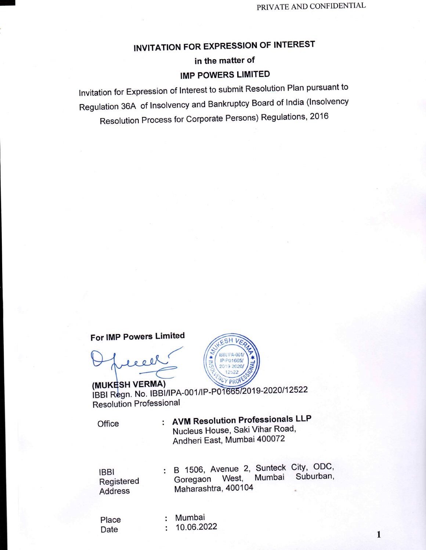# **INVITATION FOR EXPRESSION OF INTEREST**

# in the matter of **IMP POWERS LIMITED**

Invitation for Expression of Interest to submit Resolution Plan pursuant to Regulation 36A of Insolvency and Bankruptcy Board of India (Insolvency Resolution Process for Corporate Persons) Regulations, 2016

For IMP Powers Limited

 $800$ 



(MUKESH VERMA) IBBI Regn. No. IBBI/IPA-001/IP-P01665/2019-2020/12522 **Resolution Professional** 

Office

: AVM Resolution Professionals LLP Nucleus House, Saki Vihar Road, Andheri East, Mumbai 400072

**IBBI** Registered **Address** 

: B 1506, Avenue 2, Sunteck City, ODC, Suburban, West, Mumbai Goregaon Maharashtra, 400104

Place Date

: Mumbai  $: 10.06.2022$ 

 $\mathbf{1}$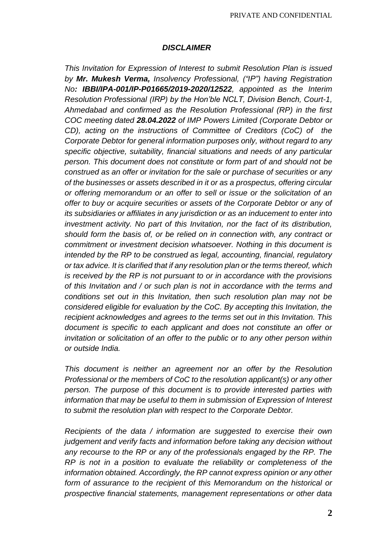#### *DISCLAIMER*

*This Invitation for Expression of Interest to submit Resolution Plan is issued by Mr. Mukesh Verma, Insolvency Professional, ("IP") having Registration No: IBBI/IPA-001/IP-P01665/2019-2020/12522, appointed as the Interim Resolution Professional (IRP) by the Hon'ble NCLT, Division Bench, Court-1, Ahmedabad and confirmed as the Resolution Professional (RP) in the first COC meeting dated 28.04.2022 of IMP Powers Limited (Corporate Debtor or CD), acting on the instructions of Committee of Creditors (CoC) of the Corporate Debtor for general information purposes only, without regard to any specific objective, suitability, financial situations and needs of any particular person. This document does not constitute or form part of and should not be construed as an offer or invitation for the sale or purchase of securities or any of the businesses or assets described in it or as a prospectus, offering circular or offering memorandum or an offer to sell or issue or the solicitation of an offer to buy or acquire securities or assets of the Corporate Debtor or any of its subsidiaries or affiliates in any jurisdiction or as an inducement to enter into investment activity. No part of this Invitation, nor the fact of its distribution, should form the basis of, or be relied on in connection with, any contract or commitment or investment decision whatsoever. Nothing in this document is intended by the RP to be construed as legal, accounting, financial, regulatory or tax advice. It is clarified that if any resolution plan or the terms thereof, which is received by the RP is not pursuant to or in accordance with the provisions of this Invitation and / or such plan is not in accordance with the terms and conditions set out in this Invitation, then such resolution plan may not be considered eligible for evaluation by the CoC. By accepting this Invitation, the recipient acknowledges and agrees to the terms set out in this Invitation. This document is specific to each applicant and does not constitute an offer or invitation or solicitation of an offer to the public or to any other person within or outside India.*

*This document is neither an agreement nor an offer by the Resolution Professional or the members of CoC to the resolution applicant(s) or any other person. The purpose of this document is to provide interested parties with information that may be useful to them in submission of Expression of Interest to submit the resolution plan with respect to the Corporate Debtor.*

*Recipients of the data / information are suggested to exercise their own judgement and verify facts and information before taking any decision without any recourse to the RP or any of the professionals engaged by the RP. The RP is not in a position to evaluate the reliability or completeness of the information obtained. Accordingly, the RP cannot express opinion or any other form of assurance to the recipient of this Memorandum on the historical or prospective financial statements, management representations or other data*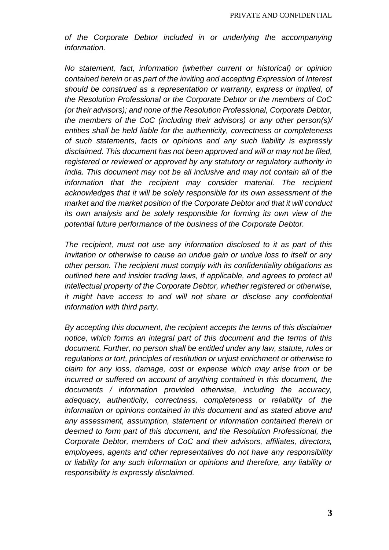*of the Corporate Debtor included in or underlying the accompanying information.*

*No statement, fact, information (whether current or historical) or opinion contained herein or as part of the inviting and accepting Expression of Interest should be construed as a representation or warranty, express or implied, of the Resolution Professional or the Corporate Debtor or the members of CoC (or their advisors); and none of the Resolution Professional, Corporate Debtor, the members of the CoC (including their advisors) or any other person(s)/ entities shall be held liable for the authenticity, correctness or completeness of such statements, facts or opinions and any such liability is expressly disclaimed. This document has not been approved and will or may not be filed, registered or reviewed or approved by any statutory or regulatory authority in India. This document may not be all inclusive and may not contain all of the information that the recipient may consider material. The recipient acknowledges that it will be solely responsible for its own assessment of the market and the market position of the Corporate Debtor and that it will conduct its own analysis and be solely responsible for forming its own view of the potential future performance of the business of the Corporate Debtor.*

*The recipient, must not use any information disclosed to it as part of this Invitation or otherwise to cause an undue gain or undue loss to itself or any other person. The recipient must comply with its confidentiality obligations as outlined here and insider trading laws, if applicable, and agrees to protect all intellectual property of the Corporate Debtor, whether registered or otherwise, it might have access to and will not share or disclose any confidential information with third party.*

*By accepting this document, the recipient accepts the terms of this disclaimer notice, which forms an integral part of this document and the terms of this document. Further, no person shall be entitled under any law, statute, rules or regulations or tort, principles of restitution or unjust enrichment or otherwise to claim for any loss, damage, cost or expense which may arise from or be incurred or suffered on account of anything contained in this document, the documents / information provided otherwise, including the accuracy, adequacy, authenticity, correctness, completeness or reliability of the information or opinions contained in this document and as stated above and any assessment, assumption, statement or information contained therein or deemed to form part of this document, and the Resolution Professional, the Corporate Debtor, members of CoC and their advisors, affiliates, directors, employees, agents and other representatives do not have any responsibility or liability for any such information or opinions and therefore, any liability or responsibility is expressly disclaimed.*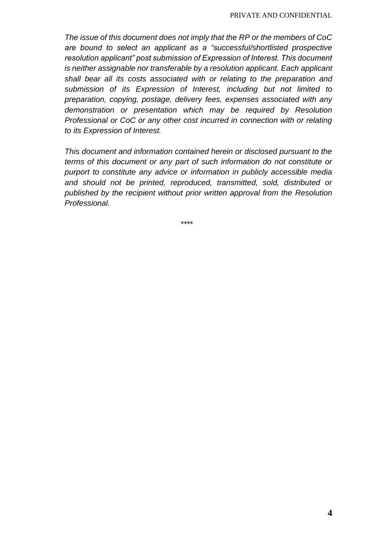*The issue of this document does not imply that the RP or the members of CoC are bound to select an applicant as a "successful/shortlisted prospective resolution applicant" post submission of Expression of Interest. This document is neither assignable nor transferable by a resolution applicant. Each applicant shall bear all its costs associated with or relating to the preparation and submission of its Expression of Interest, including but not limited to preparation, copying, postage, delivery fees, expenses associated with any demonstration or presentation which may be required by Resolution Professional or CoC or any other cost incurred in connection with or relating to its Expression of Interest.*

*This document and information contained herein or disclosed pursuant to the terms of this document or any part of such information do not constitute or purport to constitute any advice or information in publicly accessible media and should not be printed, reproduced, transmitted, sold, distributed or published by the recipient without prior written approval from the Resolution Professional.*

*\*\*\*\**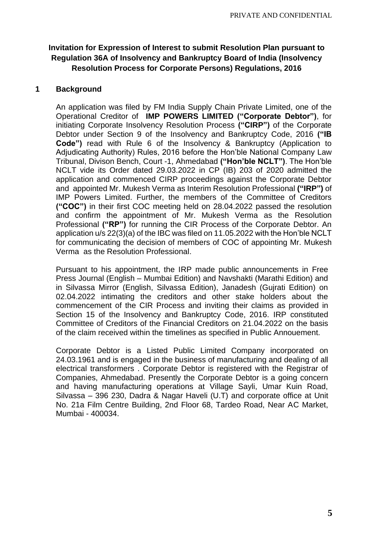## **Invitation for Expression of Interest to submit Resolution Plan pursuant to Regulation 36A of Insolvency and Bankruptcy Board of India (Insolvency Resolution Process for Corporate Persons) Regulations, 2016**

### **1 Background**

An application was filed by FM India Supply Chain Private Limited, one of the Operational Creditor of **IMP POWERS LIMITED ("Corporate Debtor")**, for initiating Corporate Insolvency Resolution Process **("CIRP")** of the Corporate Debtor under Section 9 of the Insolvency and Bankruptcy Code, 2016 **("IB Code")** read with Rule 6 of the Insolvency & Bankruptcy (Application to Adjudicating Authority) Rules, 2016 before the Hon'ble National Company Law Tribunal, Divison Bench, Court -1, Ahmedabad **("Hon'ble NCLT")**. The Hon'ble NCLT vide its Order dated 29.03.2022 in CP (IB) 203 of 2020 admitted the application and commenced CIRP proceedings against the Corporate Debtor and appointed Mr. Mukesh Verma as Interim Resolution Professional **("IRP")** of IMP Powers Limited. Further, the members of the Committee of Creditors **("COC")** in their first COC meeting held on 28.04.2022 passed the resolution and confirm the appointment of Mr. Mukesh Verma as the Resolution Professional **("RP")** for running the CIR Process of the Corporate Debtor. An application u/s 22(3)(a) of the IBC was filed on 11.05.2022 with the Hon'ble NCLT for communicating the decision of members of COC of appointing Mr. Mukesh Verma as the Resolution Professional.

Pursuant to his appointment, the IRP made public announcements in Free Press Journal (English – Mumbai Edition) and Navshakti (Marathi Edition) and in Silvassa Mirror (English, Silvassa Edition), Janadesh (Gujrati Edition) on 02.04.2022 intimating the creditors and other stake holders about the commencement of the CIR Process and inviting their claims as provided in Section 15 of the Insolvency and Bankruptcy Code, 2016. IRP constituted Committee of Creditors of the Financial Creditors on 21.04.2022 on the basis of the claim received within the timelines as specified in Public Annouement.

Corporate Debtor is a Listed Public Limited Company incorporated on 24.03.1961 and is engaged in the business of manufacturing and dealing of all electrical transformers . Corporate Debtor is registered with the Registrar of Companies, Ahmedabad. Presently the Corporate Debtor is a going concern and having manufacturing operations at Village Sayli, Umar Kuin Road, Silvassa – 396 230, Dadra & Nagar Haveli (U.T) and corporate office at Unit No. 21a Film Centre Building, 2nd Floor 68, Tardeo Road, Near AC Market, Mumbai - 400034.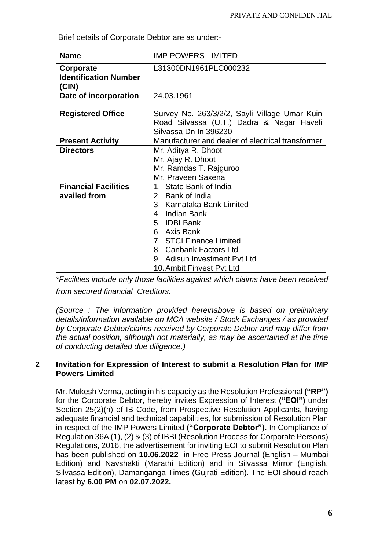Brief details of Corporate Debtor are as under:-

| <b>Name</b>                                        | <b>IMP POWERS LIMITED</b>                                                                                                                                                                                                                   |  |  |
|----------------------------------------------------|---------------------------------------------------------------------------------------------------------------------------------------------------------------------------------------------------------------------------------------------|--|--|
| Corporate<br><b>Identification Number</b><br>(CIN) | L31300DN1961PLC000232                                                                                                                                                                                                                       |  |  |
| Date of incorporation                              | 24.03.1961                                                                                                                                                                                                                                  |  |  |
| <b>Registered Office</b>                           | Survey No. 263/3/2/2, Sayli Village Umar Kuin<br>Road Silvassa (U.T.) Dadra & Nagar Haveli<br>Silvassa Dn In 396230                                                                                                                         |  |  |
| <b>Present Activity</b>                            | Manufacturer and dealer of electrical transformer                                                                                                                                                                                           |  |  |
| <b>Directors</b>                                   | Mr. Aditya R. Dhoot<br>Mr. Ajay R. Dhoot<br>Mr. Ramdas T. Rajguroo<br>Mr. Praveen Saxena                                                                                                                                                    |  |  |
| <b>Financial Facilities</b><br>availed from        | 1. State Bank of India<br>2. Bank of India<br>3. Karnataka Bank Limited<br>4. Indian Bank<br>5. IDBI Bank<br>6. Axis Bank<br>7. STCI Finance Limited<br>8. Canbank Factors Ltd<br>9. Adisun Investment Pvt Ltd<br>10. Ambit Finvest Pvt Ltd |  |  |

*\*Facilities include only those facilities against which claims have been received from secured financial Creditors.* 

*(Source : The information provided hereinabove is based on preliminary details/information available on MCA website / Stock Exchanges / as provided by Corporate Debtor/claims received by Corporate Debtor and may differ from the actual position, although not materially, as may be ascertained at the time of conducting detailed due diligence.)*

### **2 Invitation for Expression of Interest to submit a Resolution Plan for IMP Powers Limited**

Mr. Mukesh Verma, acting in his capacity as the Resolution Professional **("RP")** for the Corporate Debtor, hereby invites Expression of Interest **("EOI")** under Section 25(2)(h) of IB Code, from Prospective Resolution Applicants, having adequate financial and technical capabilities, for submission of Resolution Plan in respect of the IMP Powers Limited **("Corporate Debtor").** In Compliance of Regulation 36A (1), (2) & (3) of IBBI (Resolution Process for Corporate Persons) Regulations, 2016, the advertisement for inviting EOI to submit Resolution Plan has been published on **10.06.2022** in Free Press Journal (English – Mumbai Edition) and Navshakti (Marathi Edition) and in Silvassa Mirror (English, Silvassa Edition), Damanganga Times (Gujrati Edition). The EOI should reach latest by **6.00 PM** on **02.07.2022.**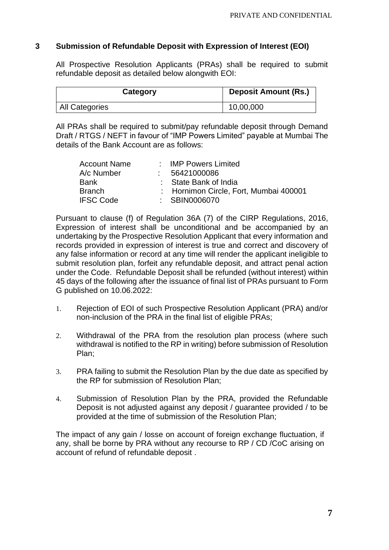### **3 Submission of Refundable Deposit with Expression of Interest (EOI)**

All Prospective Resolution Applicants (PRAs) shall be required to submit refundable deposit as detailed below alongwith EOI:

| Category              | <b>Deposit Amount (Rs.)</b> |
|-----------------------|-----------------------------|
| <b>All Categories</b> | 10,00,000                   |

All PRAs shall be required to submit/pay refundable deposit through Demand Draft / RTGS / NEFT in favour of "IMP Powers Limited" payable at Mumbai The details of the Bank Account are as follows:

| <b>Account Name</b> | : IMP Powers Limited                   |
|---------------------|----------------------------------------|
| A/c Number          | 56421000086                            |
| <b>Bank</b>         | : State Bank of India                  |
| <b>Branch</b>       | : Hornimon Circle, Fort, Mumbai 400001 |
| <b>IFSC Code</b>    | : SBIN0006070                          |

Pursuant to clause (f) of Regulation 36A (7) of the CIRP Regulations, 2016, Expression of interest shall be unconditional and be accompanied by an undertaking by the Prospective Resolution Applicant that every information and records provided in expression of interest is true and correct and discovery of any false information or record at any time will render the applicant ineligible to submit resolution plan, forfeit any refundable deposit, and attract penal action under the Code. Refundable Deposit shall be refunded (without interest) within 45 days of the following after the issuance of final list of PRAs pursuant to Form G published on 10.06.2022:

- 1. Rejection of EOI of such Prospective Resolution Applicant (PRA) and/or non-inclusion of the PRA in the final list of eligible PRAs;
- 2. Withdrawal of the PRA from the resolution plan process (where such withdrawal is notified to the RP in writing) before submission of Resolution Plan;
- 3. PRA failing to submit the Resolution Plan by the due date as specified by the RP for submission of Resolution Plan;
- 4. Submission of Resolution Plan by the PRA, provided the Refundable Deposit is not adjusted against any deposit / guarantee provided / to be provided at the time of submission of the Resolution Plan;

The impact of any gain / losse on account of foreign exchange fluctuation, if any, shall be borne by PRA without any recourse to RP / CD /CoC arising on account of refund of refundable deposit .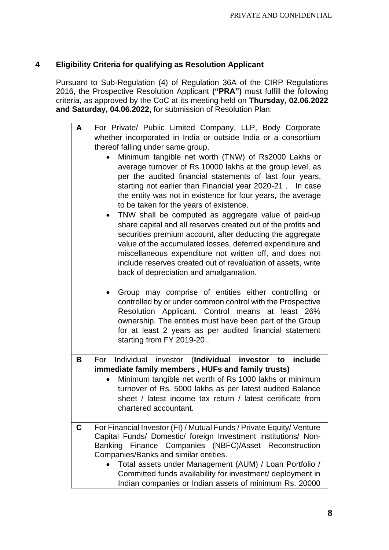# **4 Eligibility Criteria for qualifying as Resolution Applicant**

Pursuant to Sub-Regulation (4) of Regulation 36A of the CIRP Regulations 2016, the Prospective Resolution Applicant **("PRA")** must fulfill the following criteria, as approved by the CoC at its meeting held on **Thursday, 02.06.2022 and Saturday, 04.06.2022,** for submission of Resolution Plan:

| A | For Private/ Public Limited Company, LLP, Body Corporate                                                                               |  |  |  |  |  |  |
|---|----------------------------------------------------------------------------------------------------------------------------------------|--|--|--|--|--|--|
|   | whether incorporated in India or outside India or a consortium                                                                         |  |  |  |  |  |  |
|   | thereof falling under same group.                                                                                                      |  |  |  |  |  |  |
|   | Minimum tangible net worth (TNW) of Rs2000 Lakhs or                                                                                    |  |  |  |  |  |  |
|   | average turnover of Rs.10000 lakhs at the group level, as                                                                              |  |  |  |  |  |  |
|   | per the audited financial statements of last four years,                                                                               |  |  |  |  |  |  |
|   | starting not earlier than Financial year 2020-21. In case                                                                              |  |  |  |  |  |  |
|   | the entity was not in existence for four years, the average                                                                            |  |  |  |  |  |  |
|   | to be taken for the years of existence.                                                                                                |  |  |  |  |  |  |
|   | TNW shall be computed as aggregate value of paid-up                                                                                    |  |  |  |  |  |  |
|   | share capital and all reserves created out of the profits and                                                                          |  |  |  |  |  |  |
|   | securities premium account, after deducting the aggregate                                                                              |  |  |  |  |  |  |
|   | value of the accumulated losses, deferred expenditure and<br>miscellaneous expenditure not written off, and does not                   |  |  |  |  |  |  |
|   | include reserves created out of revaluation of assets, write                                                                           |  |  |  |  |  |  |
|   | back of depreciation and amalgamation.                                                                                                 |  |  |  |  |  |  |
|   |                                                                                                                                        |  |  |  |  |  |  |
|   | Group may comprise of entities either controlling or                                                                                   |  |  |  |  |  |  |
|   | controlled by or under common control with the Prospective                                                                             |  |  |  |  |  |  |
|   | Resolution Applicant. Control means at least 26%                                                                                       |  |  |  |  |  |  |
|   | ownership. The entities must have been part of the Group                                                                               |  |  |  |  |  |  |
|   | for at least 2 years as per audited financial statement                                                                                |  |  |  |  |  |  |
|   | starting from FY 2019-20.                                                                                                              |  |  |  |  |  |  |
| B | Individual investor (Individual investor to include<br>For                                                                             |  |  |  |  |  |  |
|   | immediate family members, HUFs and family trusts)                                                                                      |  |  |  |  |  |  |
|   | Minimum tangible net worth of Rs 1000 lakhs or minimum                                                                                 |  |  |  |  |  |  |
|   | turnover of Rs. 5000 lakhs as per latest audited Balance                                                                               |  |  |  |  |  |  |
|   | sheet / latest income tax return / latest certificate from                                                                             |  |  |  |  |  |  |
|   | chartered accountant.                                                                                                                  |  |  |  |  |  |  |
|   |                                                                                                                                        |  |  |  |  |  |  |
| C | For Financial Investor (FI) / Mutual Funds / Private Equity/ Venture<br>Capital Funds/ Domestic/ foreign Investment institutions/ Non- |  |  |  |  |  |  |
|   | Banking Finance Companies (NBFC)/Asset Reconstruction                                                                                  |  |  |  |  |  |  |
|   | Companies/Banks and similar entities.                                                                                                  |  |  |  |  |  |  |
|   | Total assets under Management (AUM) / Loan Portfolio /                                                                                 |  |  |  |  |  |  |
|   | Committed funds availability for investment/ deployment in                                                                             |  |  |  |  |  |  |
|   | Indian companies or Indian assets of minimum Rs. 20000                                                                                 |  |  |  |  |  |  |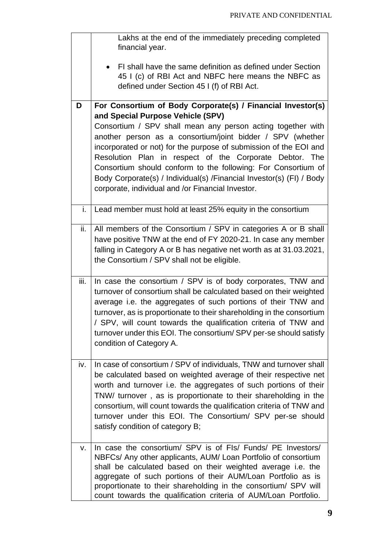|      | Lakhs at the end of the immediately preceding completed<br>financial year.                                                                                                                                                                                                                                                                                                                                                                                                                                                                                   |
|------|--------------------------------------------------------------------------------------------------------------------------------------------------------------------------------------------------------------------------------------------------------------------------------------------------------------------------------------------------------------------------------------------------------------------------------------------------------------------------------------------------------------------------------------------------------------|
|      | FI shall have the same definition as defined under Section<br>45 I (c) of RBI Act and NBFC here means the NBFC as<br>defined under Section 45 I (f) of RBI Act.                                                                                                                                                                                                                                                                                                                                                                                              |
| D    | For Consortium of Body Corporate(s) / Financial Investor(s)<br>and Special Purpose Vehicle (SPV)<br>Consortium / SPV shall mean any person acting together with<br>another person as a consortium/joint bidder / SPV (whether<br>incorporated or not) for the purpose of submission of the EOI and<br>Resolution Plan in respect of the Corporate Debtor. The<br>Consortium should conform to the following: For Consortium of<br>Body Corporate(s) / Individual(s) / Financial Investor(s) (FI) / Body<br>corporate, individual and /or Financial Investor. |
| i.   | Lead member must hold at least 25% equity in the consortium                                                                                                                                                                                                                                                                                                                                                                                                                                                                                                  |
| ii.  | All members of the Consortium / SPV in categories A or B shall<br>have positive TNW at the end of FY 2020-21. In case any member<br>falling in Category A or B has negative net worth as at 31.03.2021,<br>the Consortium / SPV shall not be eligible.                                                                                                                                                                                                                                                                                                       |
| iii. | In case the consortium / SPV is of body corporates, TNW and<br>turnover of consortium shall be calculated based on their weighted<br>average i.e. the aggregates of such portions of their TNW and<br>turnover, as is proportionate to their shareholding in the consortium<br>/ SPV, will count towards the qualification criteria of TNW and<br>turnover under this EOI. The consortium/ SPV per-se should satisfy<br>condition of Category A.                                                                                                             |
| iv.  | In case of consortium / SPV of individuals, TNW and turnover shall<br>be calculated based on weighted average of their respective net<br>worth and turnover i.e. the aggregates of such portions of their<br>TNW/ turnover, as is proportionate to their shareholding in the<br>consortium, will count towards the qualification criteria of TNW and<br>turnover under this EOI. The Consortium/ SPV per-se should<br>satisfy condition of category B;                                                                                                       |
| v.   | In case the consortium/ SPV is of FIs/ Funds/ PE Investors/<br>NBFCs/ Any other applicants, AUM/ Loan Portfolio of consortium<br>shall be calculated based on their weighted average i.e. the<br>aggregate of such portions of their AUM/Loan Portfolio as is<br>proportionate to their shareholding in the consortium/ SPV will<br>count towards the qualification criteria of AUM/Loan Portfolio.                                                                                                                                                          |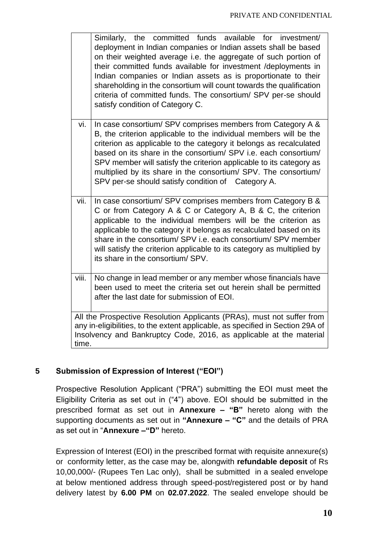|       | Similarly, the committed funds available for investment/<br>deployment in Indian companies or Indian assets shall be based<br>on their weighted average i.e. the aggregate of such portion of<br>their committed funds available for investment /deployments in<br>Indian companies or Indian assets as is proportionate to their<br>shareholding in the consortium will count towards the qualification<br>criteria of committed funds. The consortium/ SPV per-se should<br>satisfy condition of Category C. |
|-------|----------------------------------------------------------------------------------------------------------------------------------------------------------------------------------------------------------------------------------------------------------------------------------------------------------------------------------------------------------------------------------------------------------------------------------------------------------------------------------------------------------------|
| vi.   | In case consortium/ SPV comprises members from Category A &<br>B, the criterion applicable to the individual members will be the<br>criterion as applicable to the category it belongs as recalculated<br>based on its share in the consortium/ SPV i.e. each consortium/<br>SPV member will satisfy the criterion applicable to its category as<br>multiplied by its share in the consortium/ SPV. The consortium/<br>SPV per-se should satisfy condition of Category A.                                      |
| vii.  | In case consortium/ SPV comprises members from Category B &<br>C or from Category A & C or Category A, B & C, the criterion<br>applicable to the individual members will be the criterion as<br>applicable to the category it belongs as recalculated based on its<br>share in the consortium/ SPV i.e. each consortium/ SPV member<br>will satisfy the criterion applicable to its category as multiplied by<br>its share in the consortium/ SPV.                                                             |
| viii. | No change in lead member or any member whose financials have<br>been used to meet the criteria set out herein shall be permitted<br>after the last date for submission of EOI.                                                                                                                                                                                                                                                                                                                                 |
| time. | All the Prospective Resolution Applicants (PRAs), must not suffer from<br>any in-eligibilities, to the extent applicable, as specified in Section 29A of<br>Insolvency and Bankruptcy Code, 2016, as applicable at the material                                                                                                                                                                                                                                                                                |

# **5 Submission of Expression of Interest ("EOI")**

Prospective Resolution Applicant ("PRA") submitting the EOI must meet the Eligibility Criteria as set out in ("4") above. EOI should be submitted in the prescribed format as set out in **Annexure – "B"** hereto along with the supporting documents as set out in **"Annexure – "C"** and the details of PRA as set out in "**Annexure –"D"** hereto.

Expression of Interest (EOI) in the prescribed format with requisite annexure(s) or conformity letter, as the case may be, alongwith **refundable deposit** of Rs 10,00,000/- (Rupees Ten Lac only), shall be submitted in a sealed envelope at below mentioned address through speed-post/registered post or by hand delivery latest by **6.00 PM** on **02.07.2022**. The sealed envelope should be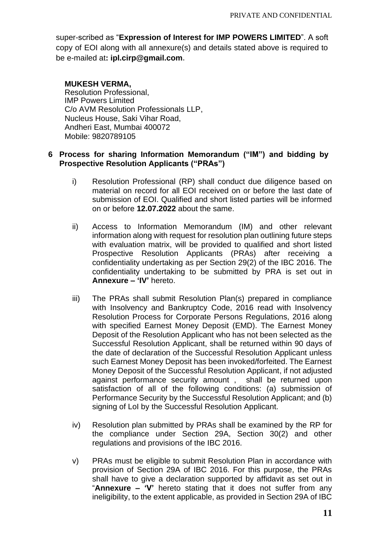super-scribed as "**Expression of Interest for IMP POWERS LIMITED**". A soft copy of EOI along with all annexure(s) and details stated above is required to be e-mailed at**: ipl.cirp@gmail.com.**

#### **MUKESH VERMA,**

Resolution Professional, IMP Powers Limited C/o AVM Resolution Professionals LLP, Nucleus House, Saki Vihar Road, Andheri East, Mumbai 400072 Mobile: 9820789105

### **6 Process for sharing Information Memorandum ("IM") and bidding by Prospective Resolution Applicants ("PRAs")**

- i) Resolution Professional (RP) shall conduct due diligence based on material on record for all EOI received on or before the last date of submission of EOI. Qualified and short listed parties will be informed on or before **12.07.2022** about the same.
- ii) Access to Information Memorandum (IM) and other relevant information along with request for resolution plan outlining future steps with evaluation matrix, will be provided to qualified and short listed Prospective Resolution Applicants (PRAs) after receiving a confidentiality undertaking as per Section 29(2) of the IBC 2016. The confidentiality undertaking to be submitted by PRA is set out in **Annexure – 'IV'** hereto.
- iii) The PRAs shall submit Resolution Plan(s) prepared in compliance with Insolvency and Bankruptcy Code, 2016 read with Insolvency Resolution Process for Corporate Persons Regulations, 2016 along with specified Earnest Money Deposit (EMD). The Earnest Money Deposit of the Resolution Applicant who has not been selected as the Successful Resolution Applicant, shall be returned within 90 days of the date of declaration of the Successful Resolution Applicant unless such Earnest Money Deposit has been invoked/forfeited. The Earnest Money Deposit of the Successful Resolution Applicant, if not adjusted against performance security amount , shall be returned upon satisfaction of all of the following conditions: (a) submission of Performance Security by the Successful Resolution Applicant; and (b) signing of LoI by the Successful Resolution Applicant.
- iv) Resolution plan submitted by PRAs shall be examined by the RP for the compliance under Section 29A, Section 30(2) and other regulations and provisions of the IBC 2016.
- v) PRAs must be eligible to submit Resolution Plan in accordance with provision of Section 29A of IBC 2016. For this purpose, the PRAs shall have to give a declaration supported by affidavit as set out in "**Annexure – 'V'** hereto stating that it does not suffer from any ineligibility, to the extent applicable, as provided in Section 29A of IBC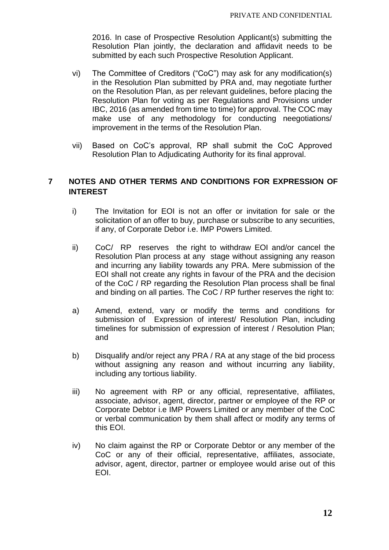2016. In case of Prospective Resolution Applicant(s) submitting the Resolution Plan jointly, the declaration and affidavit needs to be submitted by each such Prospective Resolution Applicant.

- vi) The Committee of Creditors ("CoC") may ask for any modification(s) in the Resolution Plan submitted by PRA and, may negotiate further on the Resolution Plan, as per relevant guidelines, before placing the Resolution Plan for voting as per Regulations and Provisions under IBC, 2016 (as amended from time to time) for approval. The COC may make use of any methodology for conducting neegotiations/ improvement in the terms of the Resolution Plan.
- vii) Based on CoC's approval, RP shall submit the CoC Approved Resolution Plan to Adjudicating Authority for its final approval.

### **7 NOTES AND OTHER TERMS AND CONDITIONS FOR EXPRESSION OF INTEREST**

- i) The Invitation for EOI is not an offer or invitation for sale or the solicitation of an offer to buy, purchase or subscribe to any securities, if any, of Corporate Debor i.e. IMP Powers Limited.
- ii) CoC/ RP reserves the right to withdraw EOI and/or cancel the Resolution Plan process at any stage without assigning any reason and incurring any liability towards any PRA. Mere submission of the EOI shall not create any rights in favour of the PRA and the decision of the CoC / RP regarding the Resolution Plan process shall be final and binding on all parties. The CoC / RP further reserves the right to:
- a) Amend, extend, vary or modify the terms and conditions for submission of Expression of interest/ Resolution Plan, including timelines for submission of expression of interest / Resolution Plan; and
- b) Disqualify and/or reject any PRA / RA at any stage of the bid process without assigning any reason and without incurring any liability, including any tortious liability.
- iii) No agreement with RP or any official, representative, affiliates, associate, advisor, agent, director, partner or employee of the RP or Corporate Debtor i.e IMP Powers Limited or any member of the CoC or verbal communication by them shall affect or modify any terms of this EOI.
- iv) No claim against the RP or Corporate Debtor or any member of the CoC or any of their official, representative, affiliates, associate, advisor, agent, director, partner or employee would arise out of this EOI.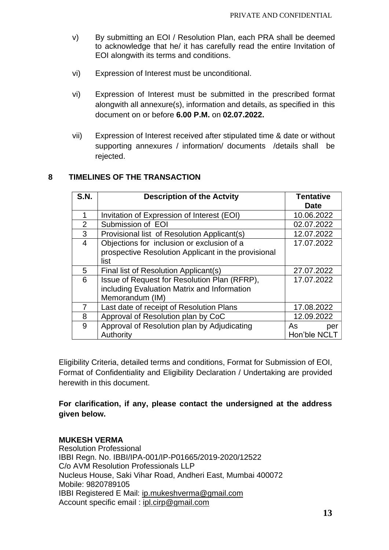- v) By submitting an EOI / Resolution Plan, each PRA shall be deemed to acknowledge that he/ it has carefully read the entire Invitation of EOI alongwith its terms and conditions.
- vi) Expression of Interest must be unconditional.
- vi) Expression of Interest must be submitted in the prescribed format alongwith all annexure(s), information and details, as specified in this document on or before **6.00 P.M.** on **02.07.2022.**
- vii) Expression of Interest received after stipulated time & date or without supporting annexures / information/ documents /details shall be rejected.

### **8 TIMELINES OF THE TRANSACTION**

| <b>S.N.</b> | <b>Description of the Actvity</b>                   | <b>Tentative</b> |  |  |
|-------------|-----------------------------------------------------|------------------|--|--|
|             |                                                     | Date             |  |  |
|             | Invitation of Expression of Interest (EOI)          | 10.06.2022       |  |  |
| 2           | Submission of EOI                                   | 02.07.2022       |  |  |
| 3           | Provisional list of Resolution Applicant(s)         | 12.07.2022       |  |  |
| 4           | Objections for inclusion or exclusion of a          | 17.07.2022       |  |  |
|             | prospective Resolution Applicant in the provisional |                  |  |  |
|             | list                                                |                  |  |  |
| 5           | Final list of Resolution Applicant(s)               | 27.07.2022       |  |  |
| 6           | Issue of Request for Resolution Plan (RFRP),        | 17.07.2022       |  |  |
|             | including Evaluation Matrix and Information         |                  |  |  |
|             | Memorandum (IM)                                     |                  |  |  |
| 7           | Last date of receipt of Resolution Plans            | 17.08.2022       |  |  |
| 8           | Approval of Resolution plan by CoC                  | 12.09.2022       |  |  |
| 9           | Approval of Resolution plan by Adjudicating         | As<br>per        |  |  |
|             | Authority                                           | Hon'ble NCLT     |  |  |

Eligibility Criteria, detailed terms and conditions, Format for Submission of EOI, Format of Confidentiality and Eligibility Declaration / Undertaking are provided herewith in this document.

**For clarification, if any, please contact the undersigned at the address given below.**

### **MUKESH VERMA**

Resolution Professional IBBI Regn. No. IBBI/IPA-001/IP-P01665/2019-2020/12522 C/o AVM Resolution Professionals LLP Nucleus House, Saki Vihar Road, Andheri East, Mumbai 400072 Mobile: 9820789105 IBBI Registered E Mail: [ip.mukeshverma@gmail.com](mailto:ip.mukeshverma@gmail.com) Account specific email : ipl.cirp@gmail.com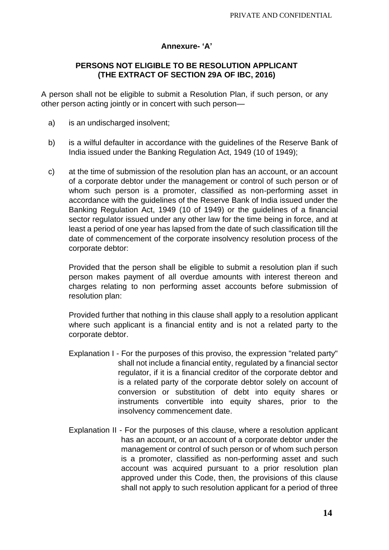### **Annexure- 'A'**

### **PERSONS NOT ELIGIBLE TO BE RESOLUTION APPLICANT (THE EXTRACT OF SECTION 29A OF IBC, 2016)**

A person shall not be eligible to submit a Resolution Plan, if such person, or any other person acting jointly or in concert with such person—

- a) is an undischarged insolvent;
- b) is a wilful defaulter in accordance with the guidelines of the Reserve Bank of India issued under the Banking Regulation Act, 1949 (10 of 1949);
- c) at the time of submission of the resolution plan has an account, or an account of a corporate debtor under the management or control of such person or of whom such person is a promoter, classified as non-performing asset in accordance with the guidelines of the Reserve Bank of India issued under the Banking Regulation Act, 1949 (10 of 1949) or the guidelines of a financial sector regulator issued under any other law for the time being in force, and at least a period of one year has lapsed from the date of such classification till the date of commencement of the corporate insolvency resolution process of the corporate debtor:

Provided that the person shall be eligible to submit a resolution plan if such person makes payment of all overdue amounts with interest thereon and charges relating to non performing asset accounts before submission of resolution plan:

Provided further that nothing in this clause shall apply to a resolution applicant where such applicant is a financial entity and is not a related party to the corporate debtor.

- Explanation I For the purposes of this proviso, the expression "related party" shall not include a financial entity, regulated by a financial sector regulator, if it is a financial creditor of the corporate debtor and is a related party of the corporate debtor solely on account of conversion or substitution of debt into equity shares or instruments convertible into equity shares, prior to the insolvency commencement date.
- Explanation II For the purposes of this clause, where a resolution applicant has an account, or an account of a corporate debtor under the management or control of such person or of whom such person is a promoter, classified as non-performing asset and such account was acquired pursuant to a prior resolution plan approved under this Code, then, the provisions of this clause shall not apply to such resolution applicant for a period of three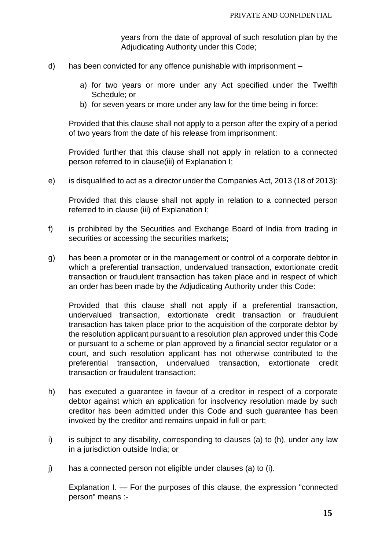years from the date of approval of such resolution plan by the Adjudicating Authority under this Code;

- d) has been convicted for any offence punishable with imprisonment
	- a) for two years or more under any Act specified under the Twelfth Schedule; or
	- b) for seven years or more under any law for the time being in force:

Provided that this clause shall not apply to a person after the expiry of a period of two years from the date of his release from imprisonment:

Provided further that this clause shall not apply in relation to a connected person referred to in clause(iii) of Explanation I;

e) is disqualified to act as a director under the Companies Act, 2013 (18 of 2013):

Provided that this clause shall not apply in relation to a connected person referred to in clause (iii) of Explanation I;

- f) is prohibited by the Securities and Exchange Board of India from trading in securities or accessing the securities markets;
- g) has been a promoter or in the management or control of a corporate debtor in which a preferential transaction, undervalued transaction, extortionate credit transaction or fraudulent transaction has taken place and in respect of which an order has been made by the Adjudicating Authority under this Code:

Provided that this clause shall not apply if a preferential transaction, undervalued transaction, extortionate credit transaction or fraudulent transaction has taken place prior to the acquisition of the corporate debtor by the resolution applicant pursuant to a resolution plan approved under this Code or pursuant to a scheme or plan approved by a financial sector regulator or a court, and such resolution applicant has not otherwise contributed to the preferential transaction, undervalued transaction, extortionate credit transaction or fraudulent transaction;

- h) has executed a guarantee in favour of a creditor in respect of a corporate debtor against which an application for insolvency resolution made by such creditor has been admitted under this Code and such guarantee has been invoked by the creditor and remains unpaid in full or part;
- i) is subject to any disability, corresponding to clauses (a) to (h), under any law in a jurisdiction outside India; or
- j) has a connected person not eligible under clauses (a) to (i).

Explanation I. — For the purposes of this clause, the expression "connected person" means :-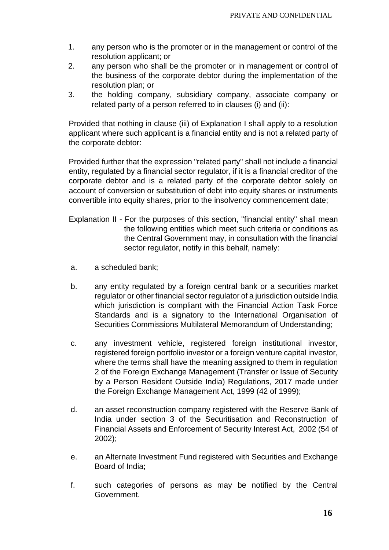- 1. any person who is the promoter or in the management or control of the resolution applicant; or
- 2. any person who shall be the promoter or in management or control of the business of the corporate debtor during the implementation of the resolution plan; or
- 3. the holding company, subsidiary company, associate company or related party of a person referred to in clauses (i) and (ii):

Provided that nothing in clause (iii) of Explanation I shall apply to a resolution applicant where such applicant is a financial entity and is not a related party of the corporate debtor:

Provided further that the expression "related party" shall not include a financial entity, regulated by a financial sector regulator, if it is a financial creditor of the corporate debtor and is a related party of the corporate debtor solely on account of conversion or substitution of debt into equity shares or instruments convertible into equity shares, prior to the insolvency commencement date;

- Explanation II For the purposes of this section, "financial entity" shall mean the following entities which meet such criteria or conditions as the Central Government may, in consultation with the financial sector regulator, notify in this behalf, namely:
- a. a scheduled bank;
- b. any entity regulated by a foreign central bank or a securities market regulator or other financial sector regulator of a jurisdiction outside India which jurisdiction is compliant with the Financial Action Task Force Standards and is a signatory to the International Organisation of Securities Commissions Multilateral Memorandum of Understanding;
- c. any investment vehicle, registered foreign institutional investor, registered foreign portfolio investor or a foreign venture capital investor, where the terms shall have the meaning assigned to them in regulation 2 of the Foreign Exchange Management (Transfer or Issue of Security by a Person Resident Outside India) Regulations, 2017 made under the Foreign Exchange Management Act, 1999 (42 of 1999);
- d. an asset reconstruction company registered with the Reserve Bank of India under section 3 of the Securitisation and Reconstruction of Financial Assets and Enforcement of Security Interest Act, 2002 (54 of 2002);
- e. an Alternate Investment Fund registered with Securities and Exchange Board of India;
- f. such categories of persons as may be notified by the Central Government.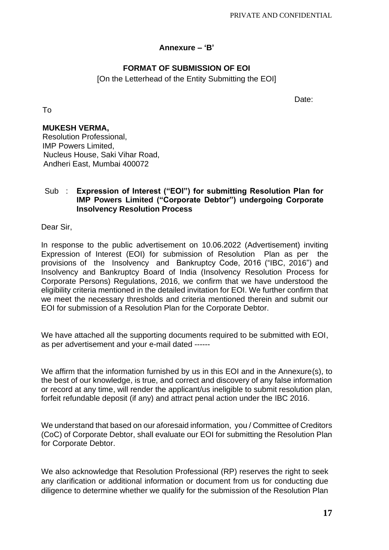### **Annexure – 'B'**

### **FORMAT OF SUBMISSION OF EOI**

[On the Letterhead of the Entity Submitting the EOI]

Date:

To

### **MUKESH VERMA,**

Resolution Professional, IMP Powers Limited, Nucleus House, Saki Vihar Road, Andheri East, Mumbai 400072

### Sub : **Expression of Interest ("EOI") for submitting Resolution Plan for IMP Powers Limited ("Corporate Debtor") undergoing Corporate Insolvency Resolution Process**

Dear Sir,

In response to the public advertisement on 10.06.2022 (Advertisement) inviting Expression of Interest (EOI) for submission of Resolution Plan as per the provisions of the Insolvency and Bankruptcy Code, 2016 ("IBC, 2016") and Insolvency and Bankruptcy Board of India (Insolvency Resolution Process for Corporate Persons) Regulations, 2016, we confirm that we have understood the eligibility criteria mentioned in the detailed invitation for EOI. We further confirm that we meet the necessary thresholds and criteria mentioned therein and submit our EOI for submission of a Resolution Plan for the Corporate Debtor.

We have attached all the supporting documents required to be submitted with EOI, as per advertisement and your e-mail dated ------

We affirm that the information furnished by us in this EOI and in the Annexure(s), to the best of our knowledge, is true, and correct and discovery of any false information or record at any time, will render the applicant/us ineligible to submit resolution plan, forfeit refundable deposit (if any) and attract penal action under the IBC 2016.

We understand that based on our aforesaid information, you / Committee of Creditors (CoC) of Corporate Debtor, shall evaluate our EOI for submitting the Resolution Plan for Corporate Debtor.

We also acknowledge that Resolution Professional (RP) reserves the right to seek any clarification or additional information or document from us for conducting due diligence to determine whether we qualify for the submission of the Resolution Plan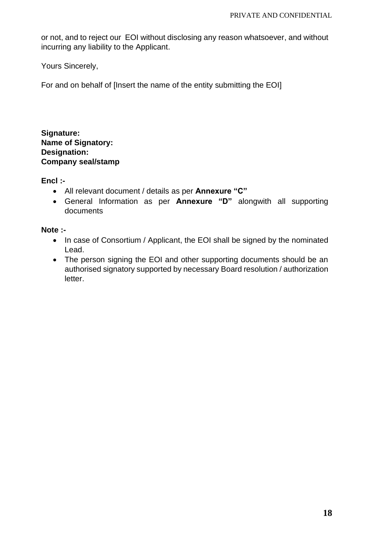or not, and to reject our EOI without disclosing any reason whatsoever, and without incurring any liability to the Applicant.

Yours Sincerely,

For and on behalf of [Insert the name of the entity submitting the EOI]

**Signature: Name of Signatory: Designation: Company seal/stamp**

**Encl :-**

- All relevant document / details as per **Annexure "C"**
- General Information as per **Annexure "D"** alongwith all supporting documents

#### **Note :-**

- In case of Consortium / Applicant, the EOI shall be signed by the nominated Lead.
- The person signing the EOI and other supporting documents should be an authorised signatory supported by necessary Board resolution / authorization letter.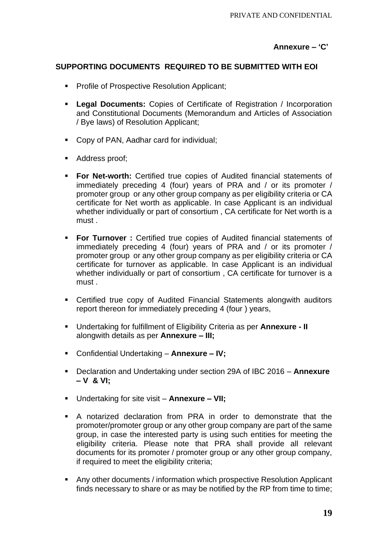### **Annexure – 'C'**

### **SUPPORTING DOCUMENTS REQUIRED TO BE SUBMITTED WITH EOI**

- Profile of Prospective Resolution Applicant;
- **Legal Documents:** Copies of Certificate of Registration / Incorporation and Constitutional Documents (Memorandum and Articles of Association / Bye laws) of Resolution Applicant;
- Copy of PAN, Aadhar card for individual;
- Address proof;
- **For Net-worth:** Certified true copies of Audited financial statements of immediately preceding 4 (four) years of PRA and / or its promoter / promoter group or any other group company as per eligibility criteria or CA certificate for Net worth as applicable. In case Applicant is an individual whether individually or part of consortium , CA certificate for Net worth is a must .
- **For Turnover :** Certified true copies of Audited financial statements of immediately preceding 4 (four) years of PRA and / or its promoter / promoter group or any other group company as per eligibility criteria or CA certificate for turnover as applicable. In case Applicant is an individual whether individually or part of consortium , CA certificate for turnover is a must .
- Certified true copy of Audited Financial Statements alongwith auditors report thereon for immediately preceding 4 (four ) years,
- Undertaking for fulfillment of Eligibility Criteria as per **Annexure - II** alongwith details as per **Annexure – III;**
- Confidential Undertaking **Annexure – IV;**
- Declaration and Undertaking under section 29A of IBC 2016 **Annexure – V & VI;**
- Undertaking for site visit **Annexure – VII;**
- A notarized declaration from PRA in order to demonstrate that the promoter/promoter group or any other group company are part of the same group, in case the interested party is using such entities for meeting the eligibility criteria. Please note that PRA shall provide all relevant documents for its promoter / promoter group or any other group company, if required to meet the eligibility criteria;
- Any other documents / information which prospective Resolution Applicant finds necessary to share or as may be notified by the RP from time to time;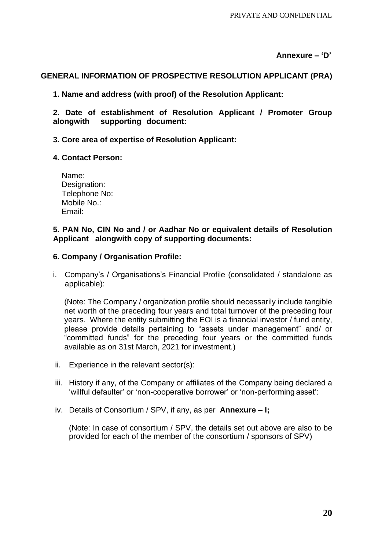#### **Annexure – 'D'**

#### **GENERAL INFORMATION OF PROSPECTIVE RESOLUTION APPLICANT (PRA)**

**1. Name and address (with proof) of the Resolution Applicant:**

**2. Date of establishment of Resolution Applicant / Promoter Group alongwith supporting document:**

#### **3. Core area of expertise of Resolution Applicant:**

#### **4. Contact Person:**

| Name:         |  |
|---------------|--|
| Designation:  |  |
| Telephone No: |  |
| Mobile No.:   |  |
| Email:        |  |

#### **5. PAN No, CIN No and / or Aadhar No or equivalent details of Resolution Applicant alongwith copy of supporting documents:**

#### **6. Company / Organisation Profile:**

i. Company's / Organisations's Financial Profile (consolidated / standalone as applicable):

(Note: The Company / organization profile should necessarily include tangible net worth of the preceding four years and total turnover of the preceding four years. Where the entity submitting the EOI is a financial investor / fund entity, please provide details pertaining to "assets under management" and/ or "committed funds" for the preceding four years or the committed funds available as on 31st March, 2021 for investment.)

- ii. Experience in the relevant sector(s):
- iii. History if any, of the Company or affiliates of the Company being declared a 'willful defaulter' or 'non-cooperative borrower' or 'non-performing asset':
- iv. Details of Consortium / SPV, if any, as per **Annexure – I;**

(Note: In case of consortium / SPV, the details set out above are also to be provided for each of the member of the consortium / sponsors of SPV)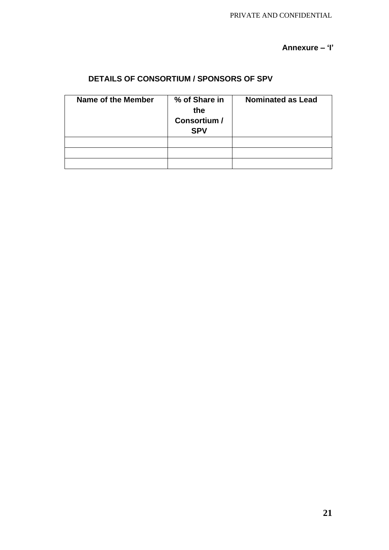### **Annexure – 'I'**

# **DETAILS OF CONSORTIUM / SPONSORS OF SPV**

| Name of the Member | % of Share in<br>the<br>Consortium /<br><b>SPV</b> | <b>Nominated as Lead</b> |
|--------------------|----------------------------------------------------|--------------------------|
|                    |                                                    |                          |
|                    |                                                    |                          |
|                    |                                                    |                          |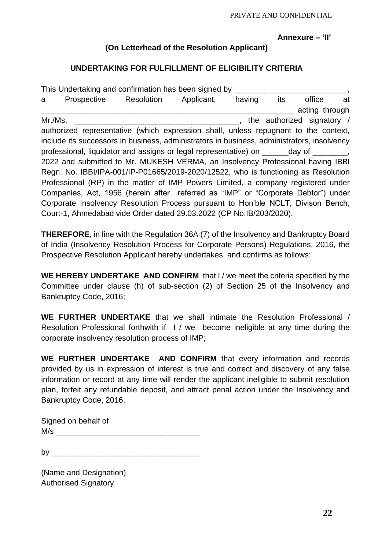PRIVATE AND CONFIDENTIAL

#### **Annexure – 'II'**

### **(On Letterhead of the Resolution Applicant)**

### **UNDERTAKING FOR FULFILLMENT OF ELIGIBILITY CRITERIA**

|         | This Undertaking and confirmation has been signed by                                       |                       |        |                                   |                |    |
|---------|--------------------------------------------------------------------------------------------|-----------------------|--------|-----------------------------------|----------------|----|
| a       | Prospective                                                                                | Resolution Applicant, | having | its                               | office         | at |
|         |                                                                                            |                       |        |                                   | acting through |    |
| Mr./Ms. |                                                                                            |                       |        | $\,$ , the authorized signatory / |                |    |
|         | authorized representative (which expression shall, unless repugnant to the context,        |                       |        |                                   |                |    |
|         | include its successors in business, administrators in business, administrators, insolvency |                       |        |                                   |                |    |
|         | professional, liquidator and assigns or legal representative) on _______day of ________,   |                       |        |                                   |                |    |
|         | 2022 and submitted to Mr. MUKESH VERMA, an Insolvency Professional having IBBI             |                       |        |                                   |                |    |
|         | Regn. No. IBBI/IPA-001/IP-P01665/2019-2020/12522, who is functioning as Resolution         |                       |        |                                   |                |    |
|         | Professional (RP) in the matter of IMP Powers Limited, a company registered under          |                       |        |                                   |                |    |
|         | Companies, Act, 1956 (herein after referred as "IMP" or "Corporate Debtor") under          |                       |        |                                   |                |    |
|         | Corporate Insolvency Resolution Process pursuant to Hon'ble NCLT, Divison Bench,           |                       |        |                                   |                |    |
|         | Court-1, Ahmedabad vide Order dated 29.03.2022 (CP No.IB/203/2020).                        |                       |        |                                   |                |    |

**THEREFORE**, in line with the Regulation 36A (7) of the Insolvency and Bankruptcy Board of India (Insolvency Resolution Process for Corporate Persons) Regulations, 2016, the Prospective Resolution Applicant hereby undertakes and confirms as follows:

**WE HEREBY UNDERTAKE AND CONFIRM** that I / we meet the criteria specified by the Committee under clause (h) of sub-section (2) of Section 25 of the Insolvency and Bankruptcy Code, 2016;

**WE FURTHER UNDERTAKE** that we shall intimate the Resolution Professional / Resolution Professional forthwith if I / we become ineligible at any time during the corporate insolvency resolution process of IMP;

**WE FURTHER UNDERTAKE AND CONFIRM** that every information and records provided by us in expression of interest is true and correct and discovery of any false information or record at any time will render the applicant ineligible to submit resolution plan, forfeit any refundable deposit, and attract penal action under the Insolvency and Bankruptcy Code, 2016.

Signed on behalf of  $M/s$ 

by  $\overline{\phantom{a}}$ 

(Name and Designation) Authorised Signatory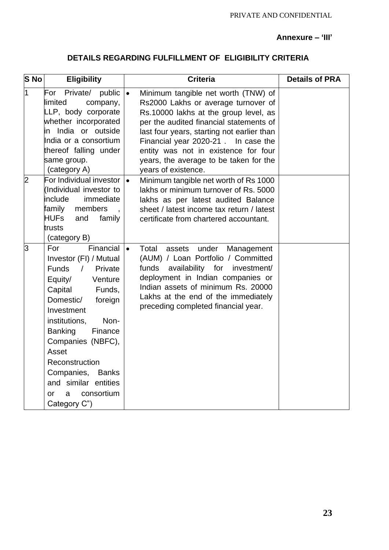#### **Annexure – 'III'**

# **DETAILS REGARDING FULFILLMENT OF ELIGIBILITY CRITERIA**

| <b>S</b> No    | <b>Eligibility</b>                                                                                                                                                                                                                                                                                                                                                                    | <b>Criteria</b>                                                                                                                                                                                                                                                                                                                                                           | <b>Details of PRA</b> |
|----------------|---------------------------------------------------------------------------------------------------------------------------------------------------------------------------------------------------------------------------------------------------------------------------------------------------------------------------------------------------------------------------------------|---------------------------------------------------------------------------------------------------------------------------------------------------------------------------------------------------------------------------------------------------------------------------------------------------------------------------------------------------------------------------|-----------------------|
| 1              | Private/<br>For<br>public<br>limited<br>company,<br>LLP, body corporate<br>whether incorporated<br>in India or outside<br>India or a consortium<br>thereof falling under<br>same group.<br>(category A)                                                                                                                                                                               | Minimum tangible net worth (TNW) of<br>$\bullet$<br>Rs2000 Lakhs or average turnover of<br>Rs.10000 lakhs at the group level, as<br>per the audited financial statements of<br>last four years, starting not earlier than<br>Financial year 2020-21. In case the<br>entity was not in existence for four<br>years, the average to be taken for the<br>years of existence. |                       |
| $\overline{2}$ | For Individual investor<br>(Individual investor to<br>include<br>immediate<br>family<br>members<br><b>HUFs</b><br>family<br>and<br>trusts<br>(category B)                                                                                                                                                                                                                             | Minimum tangible net worth of Rs 1000<br>۱۰<br>lakhs or minimum turnover of Rs. 5000<br>lakhs as per latest audited Balance<br>sheet / latest income tax return / latest<br>certificate from chartered accountant.                                                                                                                                                        |                       |
| З              | Financial $\vert \bullet \vert$<br>For<br>Investor (FI) / Mutual<br><b>Funds</b><br>$\sqrt{2}$<br>Private<br>Equity/<br>Venture<br>Capital<br>Funds,<br>Domestic/<br>foreign<br>Investment<br>institutions,<br>Non-<br><b>Banking</b><br>Finance<br>Companies (NBFC),<br>Asset<br>Reconstruction<br>Companies, Banks<br>and similar entities<br>consortium<br>0r<br>a<br>Category C") | Total<br>under<br>assets<br>Management<br>(AUM) / Loan Portfolio / Committed<br>availability for<br>funds<br>investment/<br>deployment in Indian companies or<br>Indian assets of minimum Rs. 20000<br>Lakhs at the end of the immediately<br>preceding completed financial year.                                                                                         |                       |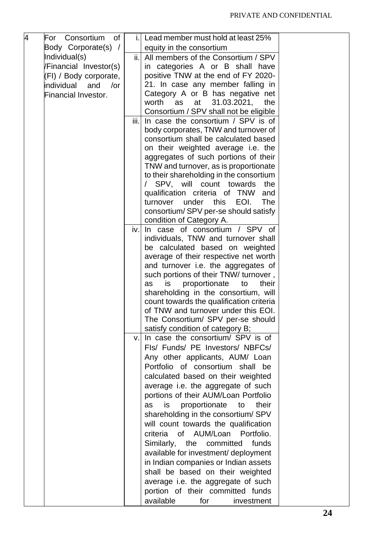| 4 | For Consortium of          | j.l  | Lead member must hold at least 25%                                               |  |
|---|----------------------------|------|----------------------------------------------------------------------------------|--|
|   | Body Corporate(s) /        |      | equity in the consortium                                                         |  |
|   | Individual(s)              | ii.  | All members of the Consortium / SPV                                              |  |
|   | Financial Investor(s)      |      | in categories A or B shall have                                                  |  |
|   | (FI) / Body corporate,     |      | positive TNW at the end of FY 2020-                                              |  |
|   | individual<br>and<br>/or   |      | 21. In case any member falling in                                                |  |
|   | <b>Financial Investor.</b> |      | Category A or B has negative net                                                 |  |
|   |                            |      | worth<br>31.03.2021,<br>as<br>at<br>the                                          |  |
|   |                            |      | Consortium / SPV shall not be eligible                                           |  |
|   |                            | iii. | In case the consortium / SPV is of                                               |  |
|   |                            |      | body corporates, TNW and turnover of                                             |  |
|   |                            |      | consortium shall be calculated based                                             |  |
|   |                            |      | on their weighted average i.e. the                                               |  |
|   |                            |      | aggregates of such portions of their                                             |  |
|   |                            |      | TNW and turnover, as is proportionate<br>to their shareholding in the consortium |  |
|   |                            |      | / SPV, will count towards<br>the                                                 |  |
|   |                            |      | qualification criteria of TNW<br>and                                             |  |
|   |                            |      | under<br>this<br>EOI.<br><b>The</b><br>turnover                                  |  |
|   |                            |      | consortium/SPV per-se should satisfy                                             |  |
|   |                            |      | condition of Category A.                                                         |  |
|   |                            | iv.  | In case of consortium / SPV of                                                   |  |
|   |                            |      | individuals, TNW and turnover shall                                              |  |
|   |                            |      | be calculated based on weighted                                                  |  |
|   |                            |      | average of their respective net worth                                            |  |
|   |                            |      | and turnover i.e. the aggregates of                                              |  |
|   |                            |      | such portions of their TNW/ turnover,                                            |  |
|   |                            |      | proportionate<br>their<br>to<br>as<br>is                                         |  |
|   |                            |      | shareholding in the consortium, will                                             |  |
|   |                            |      | count towards the qualification criteria                                         |  |
|   |                            |      | of TNW and turnover under this EOI.                                              |  |
|   |                            |      | The Consortium/ SPV per-se should<br>satisfy condition of category B;            |  |
|   |                            | v.   | In case the consortium/ SPV is of                                                |  |
|   |                            |      | Fls/ Funds/ PE Investors/ NBFCs/                                                 |  |
|   |                            |      | Any other applicants, AUM/ Loan                                                  |  |
|   |                            |      | Portfolio of consortium shall be                                                 |  |
|   |                            |      | calculated based on their weighted                                               |  |
|   |                            |      | average i.e. the aggregate of such                                               |  |
|   |                            |      | portions of their AUM/Loan Portfolio                                             |  |
|   |                            |      | proportionate<br>their<br>as<br>is<br>to                                         |  |
|   |                            |      | shareholding in the consortium/ SPV                                              |  |
|   |                            |      |                                                                                  |  |
|   |                            |      | will count towards the qualification<br>of AUM/Loan Portfolio.<br>criteria       |  |
|   |                            |      | funds                                                                            |  |
|   |                            |      | Similarly,<br>the<br>committed                                                   |  |
|   |                            |      | available for investment/ deployment                                             |  |
|   |                            |      | in Indian companies or Indian assets                                             |  |
|   |                            |      | shall be based on their weighted                                                 |  |
|   |                            |      | average i.e. the aggregate of such                                               |  |
|   |                            |      | portion of their committed funds                                                 |  |
|   |                            |      | available<br>for<br>investment                                                   |  |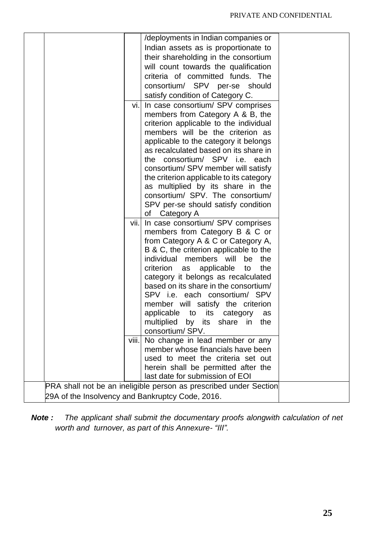|                                                                   | /deployments in Indian companies or                                        |  |  |  |
|-------------------------------------------------------------------|----------------------------------------------------------------------------|--|--|--|
|                                                                   | Indian assets as is proportionate to                                       |  |  |  |
|                                                                   | their shareholding in the consortium                                       |  |  |  |
|                                                                   | will count towards the qualification                                       |  |  |  |
|                                                                   | criteria of committed funds. The                                           |  |  |  |
|                                                                   | consortium/ SPV per-se should                                              |  |  |  |
|                                                                   | satisfy condition of Category C.                                           |  |  |  |
| vi.l                                                              | In case consortium/ SPV comprises                                          |  |  |  |
|                                                                   |                                                                            |  |  |  |
|                                                                   | members from Category A & B, the<br>criterion applicable to the individual |  |  |  |
|                                                                   | members will be the criterion as                                           |  |  |  |
|                                                                   | applicable to the category it belongs                                      |  |  |  |
|                                                                   | as recalculated based on its share in                                      |  |  |  |
|                                                                   | the consortium/ SPV i.e. each                                              |  |  |  |
|                                                                   | consortium/ SPV member will satisfy                                        |  |  |  |
|                                                                   | the criterion applicable to its category                                   |  |  |  |
|                                                                   | as multiplied by its share in the                                          |  |  |  |
|                                                                   | consortium/ SPV. The consortium/                                           |  |  |  |
|                                                                   | SPV per-se should satisfy condition                                        |  |  |  |
|                                                                   | of Category A                                                              |  |  |  |
| vii.                                                              | In case consortium/ SPV comprises                                          |  |  |  |
|                                                                   | members from Category B & C or                                             |  |  |  |
|                                                                   | from Category A & C or Category A,                                         |  |  |  |
|                                                                   | B & C, the criterion applicable to the                                     |  |  |  |
|                                                                   | individual<br>members will<br>be<br>the                                    |  |  |  |
|                                                                   | criterion<br>applicable<br>the<br>as<br>to                                 |  |  |  |
|                                                                   | category it belongs as recalculated                                        |  |  |  |
|                                                                   | based on its share in the consortium/                                      |  |  |  |
|                                                                   | SPV i.e. each consortium/ SPV                                              |  |  |  |
|                                                                   | member will satisfy the criterion                                          |  |  |  |
|                                                                   | applicable to<br>its<br>category<br>as                                     |  |  |  |
|                                                                   | multiplied by its share in the                                             |  |  |  |
|                                                                   | consortium/SPV.                                                            |  |  |  |
|                                                                   | viii. No change in lead member or any                                      |  |  |  |
|                                                                   | member whose financials have been                                          |  |  |  |
|                                                                   | used to meet the criteria set out                                          |  |  |  |
|                                                                   | herein shall be permitted after the                                        |  |  |  |
|                                                                   | last date for submission of EOI                                            |  |  |  |
| PRA shall not be an ineligible person as prescribed under Section |                                                                            |  |  |  |
|                                                                   | 29A of the Insolvency and Bankruptcy Code, 2016.                           |  |  |  |

*Note : The applicant shall submit the documentary proofs alongwith calculation of net worth and turnover, as part of this Annexure- "III".*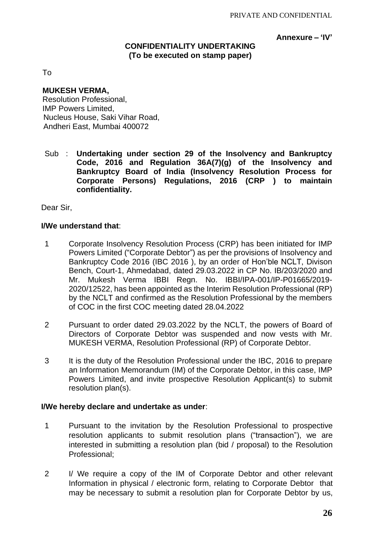#### **Annexure – 'IV'**

### **CONFIDENTIALITY UNDERTAKING (To be executed on stamp paper)**

To

#### **MUKESH VERMA,**

Resolution Professional, IMP Powers Limited, Nucleus House, Saki Vihar Road, Andheri East, Mumbai 400072

Sub : **Undertaking under section 29 of the Insolvency and Bankruptcy Code, 2016 and Regulation 36A(7)(g) of the Insolvency and Bankruptcy Board of India (Insolvency Resolution Process for Corporate Persons) Regulations, 2016 (CRP ) to maintain confidentiality.**

Dear Sir,

#### **I/We understand that**:

- 1 Corporate Insolvency Resolution Process (CRP) has been initiated for IMP Powers Limited ("Corporate Debtor") as per the provisions of Insolvency and Bankruptcy Code 2016 (IBC 2016 ), by an order of Hon'ble NCLT, Divison Bench, Court-1, Ahmedabad, dated 29.03.2022 in CP No. IB/203/2020 and Mr. Mukesh Verma IBBI Regn. No. IBBI/IPA-001/IP-P01665/2019- 2020/12522, has been appointed as the Interim Resolution Professional (RP) by the NCLT and confirmed as the Resolution Professional by the members of COC in the first COC meeting dated 28.04.2022
- 2 Pursuant to order dated 29.03.2022 by the NCLT, the powers of Board of Directors of Corporate Debtor was suspended and now vests with Mr. MUKESH VERMA, Resolution Professional (RP) of Corporate Debtor.
- 3 It is the duty of the Resolution Professional under the IBC, 2016 to prepare an Information Memorandum (IM) of the Corporate Debtor, in this case, IMP Powers Limited, and invite prospective Resolution Applicant(s) to submit resolution plan(s).

#### **I/We hereby declare and undertake as under**:

- 1 Pursuant to the invitation by the Resolution Professional to prospective resolution applicants to submit resolution plans ("transaction"), we are interested in submitting a resolution plan (bid / proposal) to the Resolution Professional;
- 2 I/ We require a copy of the IM of Corporate Debtor and other relevant Information in physical / electronic form, relating to Corporate Debtor that may be necessary to submit a resolution plan for Corporate Debtor by us,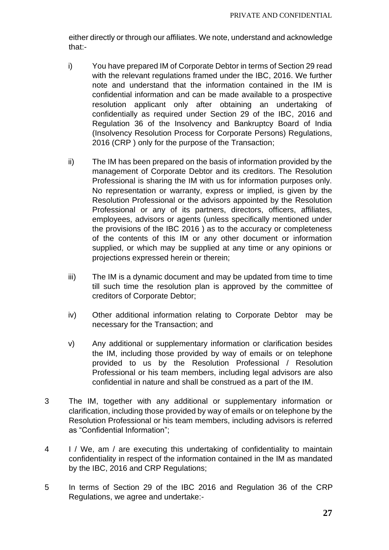either directly or through our affiliates. We note, understand and acknowledge that:-

- i) You have prepared IM of Corporate Debtor in terms of Section 29 read with the relevant regulations framed under the IBC, 2016. We further note and understand that the information contained in the IM is confidential information and can be made available to a prospective resolution applicant only after obtaining an undertaking of confidentially as required under Section 29 of the IBC, 2016 and Regulation 36 of the Insolvency and Bankruptcy Board of India (Insolvency Resolution Process for Corporate Persons) Regulations, 2016 (CRP ) only for the purpose of the Transaction;
- ii) The IM has been prepared on the basis of information provided by the management of Corporate Debtor and its creditors. The Resolution Professional is sharing the IM with us for information purposes only. No representation or warranty, express or implied, is given by the Resolution Professional or the advisors appointed by the Resolution Professional or any of its partners, directors, officers, affiliates, employees, advisors or agents (unless specifically mentioned under the provisions of the IBC 2016 ) as to the accuracy or completeness of the contents of this IM or any other document or information supplied, or which may be supplied at any time or any opinions or projections expressed herein or therein;
- iii) The IM is a dynamic document and may be updated from time to time till such time the resolution plan is approved by the committee of creditors of Corporate Debtor;
- iv) Other additional information relating to Corporate Debtor may be necessary for the Transaction; and
- v) Any additional or supplementary information or clarification besides the IM, including those provided by way of emails or on telephone provided to us by the Resolution Professional / Resolution Professional or his team members, including legal advisors are also confidential in nature and shall be construed as a part of the IM.
- 3 The IM, together with any additional or supplementary information or clarification, including those provided by way of emails or on telephone by the Resolution Professional or his team members, including advisors is referred as "Confidential Information";
- 4 I / We, am / are executing this undertaking of confidentiality to maintain confidentiality in respect of the information contained in the IM as mandated by the IBC, 2016 and CRP Regulations;
- 5 In terms of Section 29 of the IBC 2016 and Regulation 36 of the CRP Regulations, we agree and undertake:-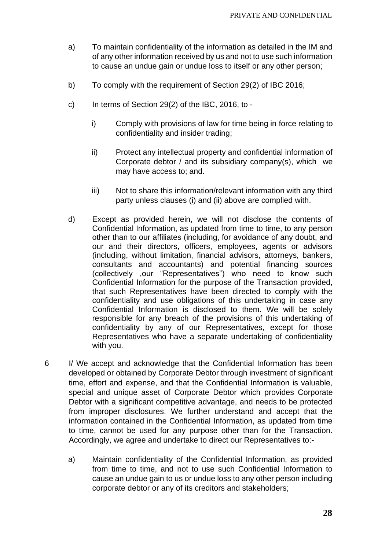- a) To maintain confidentiality of the information as detailed in the IM and of any other information received by us and not to use such information to cause an undue gain or undue loss to itself or any other person;
- b) To comply with the requirement of Section 29(2) of IBC 2016;
- c) In terms of Section 29(2) of the IBC, 2016, to
	- i) Comply with provisions of law for time being in force relating to confidentiality and insider trading;
	- ii) Protect any intellectual property and confidential information of Corporate debtor / and its subsidiary company(s), which we may have access to; and.
	- iii) Not to share this information/relevant information with any third party unless clauses (i) and (ii) above are complied with.
- d) Except as provided herein, we will not disclose the contents of Confidential Information, as updated from time to time, to any person other than to our affiliates (including, for avoidance of any doubt, and our and their directors, officers, employees, agents or advisors (including, without limitation, financial advisors, attorneys, bankers, consultants and accountants) and potential financing sources (collectively ,our "Representatives") who need to know such Confidential Information for the purpose of the Transaction provided, that such Representatives have been directed to comply with the confidentiality and use obligations of this undertaking in case any Confidential Information is disclosed to them. We will be solely responsible for any breach of the provisions of this undertaking of confidentiality by any of our Representatives, except for those Representatives who have a separate undertaking of confidentiality with you.
- 6 I/ We accept and acknowledge that the Confidential Information has been developed or obtained by Corporate Debtor through investment of significant time, effort and expense, and that the Confidential Information is valuable, special and unique asset of Corporate Debtor which provides Corporate Debtor with a significant competitive advantage, and needs to be protected from improper disclosures. We further understand and accept that the information contained in the Confidential Information, as updated from time to time, cannot be used for any purpose other than for the Transaction. Accordingly, we agree and undertake to direct our Representatives to:
	- a) Maintain confidentiality of the Confidential Information, as provided from time to time, and not to use such Confidential Information to cause an undue gain to us or undue loss to any other person including corporate debtor or any of its creditors and stakeholders;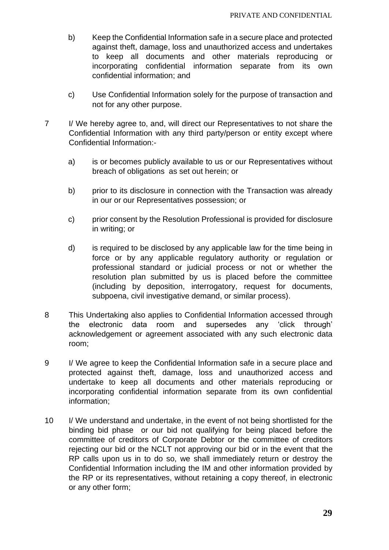- b) Keep the Confidential Information safe in a secure place and protected against theft, damage, loss and unauthorized access and undertakes to keep all documents and other materials reproducing or incorporating confidential information separate from its own confidential information; and
- c) Use Confidential Information solely for the purpose of transaction and not for any other purpose.
- 7 I/ We hereby agree to, and, will direct our Representatives to not share the Confidential Information with any third party/person or entity except where Confidential Information:
	- a) is or becomes publicly available to us or our Representatives without breach of obligations as set out herein; or
	- b) prior to its disclosure in connection with the Transaction was already in our or our Representatives possession; or
	- c) prior consent by the Resolution Professional is provided for disclosure in writing; or
	- d) is required to be disclosed by any applicable law for the time being in force or by any applicable regulatory authority or regulation or professional standard or judicial process or not or whether the resolution plan submitted by us is placed before the committee (including by deposition, interrogatory, request for documents, subpoena, civil investigative demand, or similar process).
- 8 This Undertaking also applies to Confidential Information accessed through the electronic data room and supersedes any 'click through' acknowledgement or agreement associated with any such electronic data room;
- 9 I/ We agree to keep the Confidential Information safe in a secure place and protected against theft, damage, loss and unauthorized access and undertake to keep all documents and other materials reproducing or incorporating confidential information separate from its own confidential information;
- 10 I/ We understand and undertake, in the event of not being shortlisted for the binding bid phase or our bid not qualifying for being placed before the committee of creditors of Corporate Debtor or the committee of creditors rejecting our bid or the NCLT not approving our bid or in the event that the RP calls upon us in to do so, we shall immediately return or destroy the Confidential Information including the IM and other information provided by the RP or its representatives, without retaining a copy thereof, in electronic or any other form;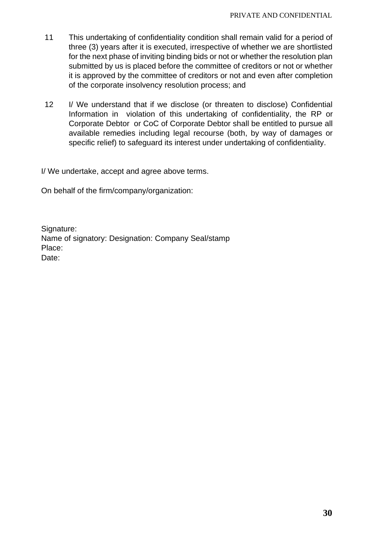- 11 This undertaking of confidentiality condition shall remain valid for a period of three (3) years after it is executed, irrespective of whether we are shortlisted for the next phase of inviting binding bids or not or whether the resolution plan submitted by us is placed before the committee of creditors or not or whether it is approved by the committee of creditors or not and even after completion of the corporate insolvency resolution process; and
- 12 I/ We understand that if we disclose (or threaten to disclose) Confidential Information in violation of this undertaking of confidentiality, the RP or Corporate Debtor or CoC of Corporate Debtor shall be entitled to pursue all available remedies including legal recourse (both, by way of damages or specific relief) to safeguard its interest under undertaking of confidentiality.

I/ We undertake, accept and agree above terms.

On behalf of the firm/company/organization:

Signature: Name of signatory: Designation: Company Seal/stamp Place: Date: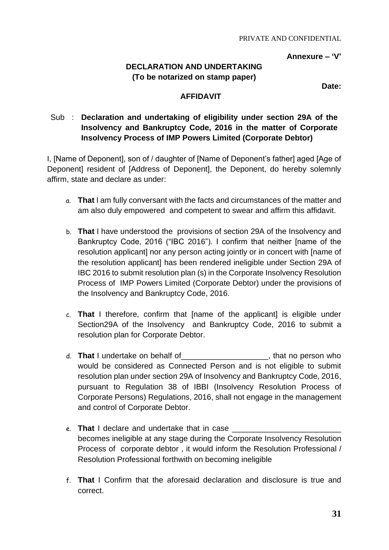**Annexure – 'V'**

# **DECLARATION AND UNDERTAKING (To be notarized on stamp paper)**

**Date:**  $\blacksquare$ 

## **AFFIDAVIT**

## Sub : **Declaration and undertaking of eligibility under section 29A of the Insolvency and Bankruptcy Code, 2016 in the matter of Corporate Insolvency Process of IMP Powers Limited (Corporate Debtor)**

I, [Name of Deponent], son of / daughter of [Name of Deponent's father] aged [Age of Deponent] resident of [Address of Deponent], the Deponent, do hereby solemnly affirm, state and declare as under:

- a. **That** I am fully conversant with the facts and circumstances of the matter and am also duly empowered and competent to swear and affirm this affidavit.
- b. **That** I have understood the provisions of section 29A of the Insolvency and Bankruptcy Code, 2016 ("IBC 2016"). I confirm that neither [name of the resolution applicant] nor any person acting jointly or in concert with [name of the resolution applicant] has been rendered ineligible under Section 29A of IBC 2016 to submit resolution plan (s) in the Corporate Insolvency Resolution Process of IMP Powers Limited (Corporate Debtor) under the provisions of the Insolvency and Bankruptcy Code, 2016.
- c. **That** I therefore, confirm that [name of the applicant] is eligible under Section29A of the Insolvency and Bankruptcy Code, 2016 to submit a resolution plan for Corporate Debtor.
- d. **That** I undertake on behalf of\_\_\_\_\_\_\_\_\_\_\_\_\_\_\_\_\_\_\_\_, that no person who would be considered as Connected Person and is not eligible to submit resolution plan under section 29A of Insolvency and Bankruptcy Code, 2016, pursuant to Regulation 38 of IBBI (Insolvency Resolution Process of Corporate Persons) Regulations, 2016, shall not engage in the management and control of Corporate Debtor.
- e. **That** I declare and undertake that in case \_\_\_\_\_\_\_\_\_ becomes ineligible at any stage during the Corporate Insolvency Resolution Process of corporate debtor , it would inform the Resolution Professional / Resolution Professional forthwith on becoming ineligible
- f. **That** I Confirm that the aforesaid declaration and disclosure is true and correct.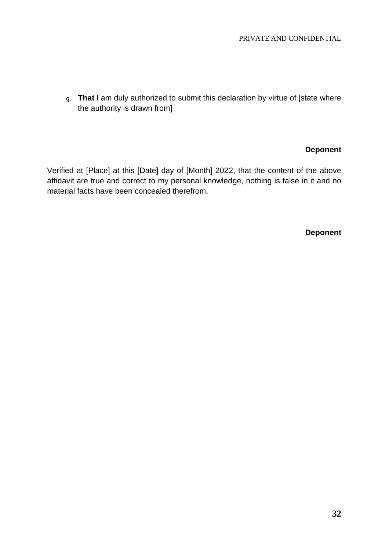g. **That** I am duly authorized to submit this declaration by virtue of [state where the authority is drawn from]

### **Deponent**

Verified at [Place] at this [Date] day of [Month] 2022, that the content of the above affidavit are true and correct to my personal knowledge, nothing is false in it and no material facts have been concealed therefrom.

**Deponent**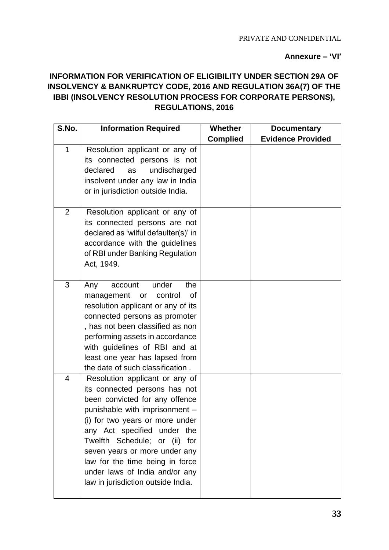### **Annexure – 'VI'**

# **INFORMATION FOR VERIFICATION OF ELIGIBILITY UNDER SECTION 29A OF INSOLVENCY & BANKRUPTCY CODE, 2016 AND REGULATION 36A(7) OF THE IBBI (INSOLVENCY RESOLUTION PROCESS FOR CORPORATE PERSONS), REGULATIONS, 2016**

| S.No.          | <b>Information Required</b>                                                                                                                                                                                                                                                                                                                                                           | <b>Whether</b>  | <b>Documentary</b>       |
|----------------|---------------------------------------------------------------------------------------------------------------------------------------------------------------------------------------------------------------------------------------------------------------------------------------------------------------------------------------------------------------------------------------|-----------------|--------------------------|
|                |                                                                                                                                                                                                                                                                                                                                                                                       | <b>Complied</b> | <b>Evidence Provided</b> |
| $\mathbf{1}$   | Resolution applicant or any of<br>its connected persons is not<br>undischarged<br>declared<br>as<br>insolvent under any law in India<br>or in jurisdiction outside India.                                                                                                                                                                                                             |                 |                          |
| $\overline{2}$ | Resolution applicant or any of<br>its connected persons are not<br>declared as 'wilful defaulter(s)' in<br>accordance with the guidelines<br>of RBI under Banking Regulation<br>Act, 1949.                                                                                                                                                                                            |                 |                          |
| 3              | under<br>the<br>Any<br>account<br>management<br>control<br>0f<br>or<br>resolution applicant or any of its<br>connected persons as promoter<br>, has not been classified as non<br>performing assets in accordance<br>with guidelines of RBI and at<br>least one year has lapsed from<br>the date of such classification.                                                              |                 |                          |
| 4              | Resolution applicant or any of<br>its connected persons has not<br>been convicted for any offence<br>punishable with imprisonment -<br>(i) for two years or more under<br>any Act specified under the<br>Twelfth Schedule; or (ii)<br>for<br>seven years or more under any<br>law for the time being in force<br>under laws of India and/or any<br>law in jurisdiction outside India. |                 |                          |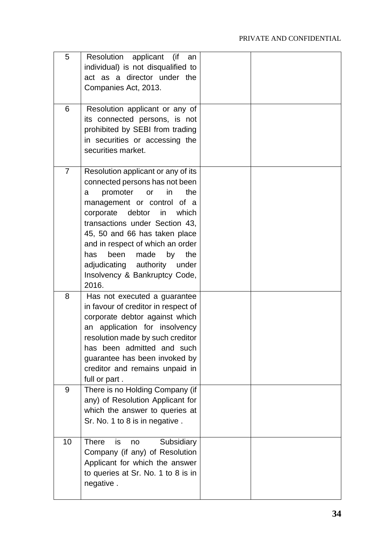| 5              | Resolution<br>applicant (if<br>an<br>individual) is not disqualified to<br>act as a director under the<br>Companies Act, 2013.                                                                                                                                                                                                                                                                       |  |
|----------------|------------------------------------------------------------------------------------------------------------------------------------------------------------------------------------------------------------------------------------------------------------------------------------------------------------------------------------------------------------------------------------------------------|--|
| 6              | Resolution applicant or any of<br>its connected persons, is not<br>prohibited by SEBI from trading<br>in securities or accessing the<br>securities market.                                                                                                                                                                                                                                           |  |
| $\overline{7}$ | Resolution applicant or any of its<br>connected persons has not been<br>promoter<br>in<br>the<br>or<br>a<br>management or control of a<br>debtor<br>in<br>which<br>corporate<br>transactions under Section 43,<br>45, 50 and 66 has taken place<br>and in respect of which an order<br>by<br>has<br>been<br>made<br>the<br>adjudicating authority<br>under<br>Insolvency & Bankruptcy Code,<br>2016. |  |
| 8              | Has not executed a guarantee<br>in favour of creditor in respect of<br>corporate debtor against which<br>an application for insolvency<br>resolution made by such creditor<br>has been admitted and such<br>guarantee has been invoked by<br>creditor and remains unpaid in<br>full or part.                                                                                                         |  |
| 9              | There is no Holding Company (if<br>any) of Resolution Applicant for<br>which the answer to queries at<br>Sr. No. 1 to 8 is in negative.                                                                                                                                                                                                                                                              |  |
| 10             | Subsidiary<br><b>There</b><br>is<br>no<br>Company (if any) of Resolution<br>Applicant for which the answer<br>to queries at Sr. No. 1 to 8 is in<br>negative.                                                                                                                                                                                                                                        |  |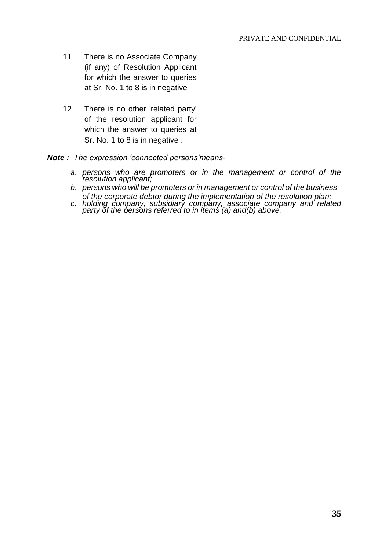| 11              | There is no Associate Company<br>(if any) of Resolution Applicant<br>for which the answer to queries<br>at Sr. No. 1 to 8 is in negative |  |
|-----------------|------------------------------------------------------------------------------------------------------------------------------------------|--|
| 12 <sup>1</sup> | There is no other 'related party'<br>of the resolution applicant for<br>which the answer to queries at<br>Sr. No. 1 to 8 is in negative. |  |

*Note : The expression 'connected persons'means-*

- *a. persons who are promoters or in the management or control of the resolution applicant;*
- *b. persons who will be promoters or in management or control of the business of the corporate debtor during the implementation of the resolution plan;*
- *c. holding company, subsidiary company, associate company and related party of the persons referred to in items (a) and(b) above.*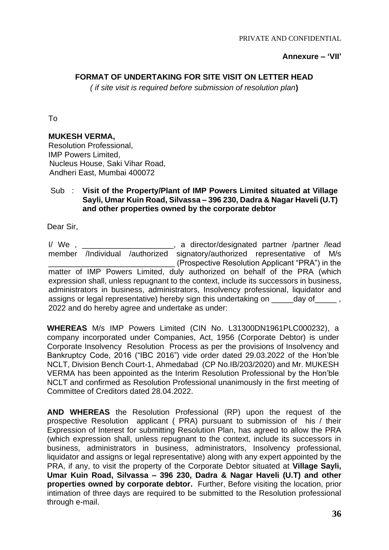#### **Annexure – 'VII'**

### **FORMAT OF UNDERTAKING FOR SITE VISIT ON LETTER HEAD**

*( if site visit is required before submission of resolution plan***)**

To

### **MUKESH VERMA,**

Resolution Professional, IMP Powers Limited, Nucleus House, Saki Vihar Road, Andheri East, Mumbai 400072

### Sub : **Visit of the Property/Plant of IMP Powers Limited situated at Village Sayli, Umar Kuin Road, Silvassa – 396 230, Dadra & Nagar Haveli (U.T) and other properties owned by the corporate debtor**

Dear Sir,

I/ We, \_\_\_\_\_\_\_\_\_\_\_\_\_\_\_\_\_\_\_, a director/designated partner /partner /lead member /Individual /authorized signatory/authorized representative of M/s \_\_\_\_\_\_\_\_\_\_\_\_\_\_\_\_\_\_\_\_\_\_\_\_\_\_\_\_\_ (Prospective Resolution Applicant "PRA") in the matter of IMP Powers Limited, duly authorized on behalf of the PRA (which expression shall, unless repugnant to the context, include its successors in business, administrators in business, administrators, Insolvency professional, liquidator and assigns or legal representative) hereby sign this undertaking on \_\_\_\_\_day of\_\_\_\_\_ , 2022 and do hereby agree and undertake as under:

**WHEREAS** M/s IMP Powers Limited (CIN No. L31300DN1961PLC000232), a company incorporated under Companies, Act, 1956 (Corporate Debtor) is under Corporate Insolvency Resolution Process as per the provisions of Insolvency and Bankruptcy Code, 2016 ("IBC 2016") vide order dated 29.03.2022 of the Hon'ble NCLT, Division Bench Court-1, Ahmedabad (CP No.IB/203/2020) and Mr. MUKESH VERMA has been appointed as the Interim Resolution Professional by the Hon'ble NCLT and confirmed as Resolution Professional unanimously in the first meeting of Committee of Creditors dated 28.04.2022.

**AND WHEREAS** the Resolution Professional (RP) upon the request of the prospective Resolution applicant ( PRA) pursuant to submission of his / their Expression of Interest for submitting Resolution Plan, has agreed to allow the PRA (which expression shall, unless repugnant to the context, include its successors in business, administrators in business, administrators, Insolvency professional, liquidator and assigns or legal representative) along with any expert appointed by the PRA, if any, to visit the property of the Corporate Debtor situated at **Village Sayli, Umar Kuin Road, Silvassa – 396 230, Dadra & Nagar Haveli (U.T) and other properties owned by corporate debtor.** Further, Before visiting the location, prior intimation of three days are required to be submitted to the Resolution professional through e-mail.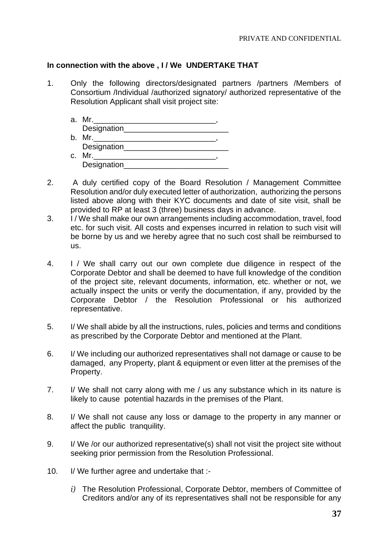### **In connection with the above , I / We UNDERTAKE THAT**

1. Only the following directors/designated partners /partners /Members of Consortium /Individual /authorized signatory/ authorized representative of the Resolution Applicant shall visit project site:

| a. Mr.       |  |
|--------------|--|
| Designation  |  |
| b. Mr.       |  |
| Designation  |  |
| c. Mr.       |  |
| Designation_ |  |

- 2. A duly certified copy of the Board Resolution / Management Committee Resolution and/or duly executed letter of authorization, authorizing the persons listed above along with their KYC documents and date of site visit, shall be provided to RP at least 3 (three) business days in advance.
- 3. I / We shall make our own arrangements including accommodation, travel, food etc. for such visit. All costs and expenses incurred in relation to such visit will be borne by us and we hereby agree that no such cost shall be reimbursed to us.
- 4. I / We shall carry out our own complete due diligence in respect of the Corporate Debtor and shall be deemed to have full knowledge of the condition of the project site, relevant documents, information, etc. whether or not, we actually inspect the units or verify the documentation, if any, provided by the Corporate Debtor / the Resolution Professional or his authorized representative.
- 5. I/ We shall abide by all the instructions, rules, policies and terms and conditions as prescribed by the Corporate Debtor and mentioned at the Plant.
- 6. I/ We including our authorized representatives shall not damage or cause to be damaged, any Property, plant & equipment or even litter at the premises of the Property.
- 7. I/ We shall not carry along with me / us any substance which in its nature is likely to cause potential hazards in the premises of the Plant.
- 8. I/ We shall not cause any loss or damage to the property in any manner or affect the public tranquility.
- 9. I/ We /or our authorized representative(s) shall not visit the project site without seeking prior permission from the Resolution Professional.
- 10. I/ We further agree and undertake that :
	- *i)* The Resolution Professional, Corporate Debtor, members of Committee of Creditors and/or any of its representatives shall not be responsible for any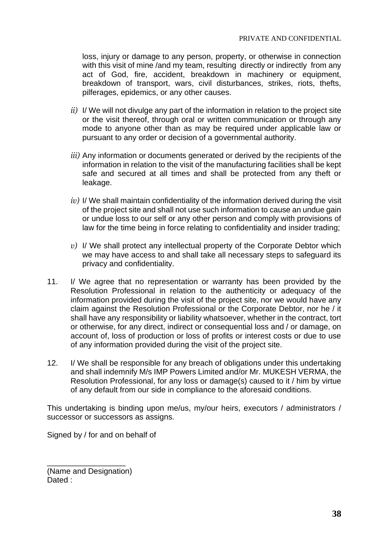loss, injury or damage to any person, property, or otherwise in connection with this visit of mine /and my team, resulting directly or indirectly from any act of God, fire, accident, breakdown in machinery or equipment, breakdown of transport, wars, civil disturbances, strikes, riots, thefts, pilferages, epidemics, or any other causes.

- *ii)* I/ We will not divulge any part of the information in relation to the project site or the visit thereof, through oral or written communication or through any mode to anyone other than as may be required under applicable law or pursuant to any order or decision of a governmental authority.
- *iii)* Any information or documents generated or derived by the recipients of the information in relation to the visit of the manufacturing facilities shall be kept safe and secured at all times and shall be protected from any theft or leakage.
- *iv)* I/ We shall maintain confidentiality of the information derived during the visit of the project site and shall not use such information to cause an undue gain or undue loss to our self or any other person and comply with provisions of law for the time being in force relating to confidentiality and insider trading;
- *v)* I/ We shall protect any intellectual property of the Corporate Debtor which we may have access to and shall take all necessary steps to safeguard its privacy and confidentiality.
- 11. I/ We agree that no representation or warranty has been provided by the Resolution Professional in relation to the authenticity or adequacy of the information provided during the visit of the project site, nor we would have any claim against the Resolution Professional or the Corporate Debtor, nor he / it shall have any responsibility or liability whatsoever, whether in the contract, tort or otherwise, for any direct, indirect or consequential loss and / or damage, on account of, loss of production or loss of profits or interest costs or due to use of any information provided during the visit of the project site.
- 12. I/ We shall be responsible for any breach of obligations under this undertaking and shall indemnify M/s IMP Powers Limited and/or Mr. MUKESH VERMA, the Resolution Professional, for any loss or damage(s) caused to it / him by virtue of any default from our side in compliance to the aforesaid conditions.

This undertaking is binding upon me/us, my/our heirs, executors / administrators / successor or successors as assigns.

Signed by / for and on behalf of

(Name and Designation) Dated :

\_\_\_\_\_\_\_\_\_\_\_\_\_\_\_\_\_\_